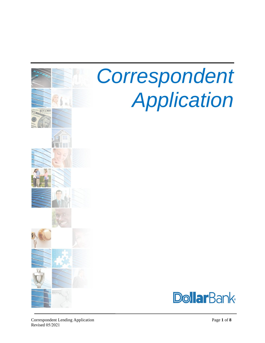

# *Correspondent Application*

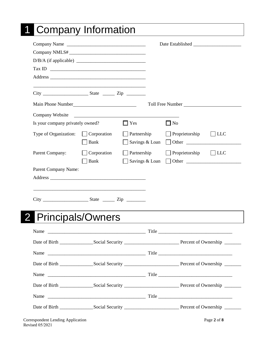|                                                                                                                       | Company Name               |             |                |                       |            |
|-----------------------------------------------------------------------------------------------------------------------|----------------------------|-------------|----------------|-----------------------|------------|
|                                                                                                                       |                            |             |                |                       |            |
|                                                                                                                       |                            |             |                |                       |            |
|                                                                                                                       |                            |             |                |                       |            |
|                                                                                                                       |                            |             |                |                       |            |
|                                                                                                                       |                            |             |                |                       |            |
|                                                                                                                       |                            |             |                |                       |            |
| Company Website                                                                                                       |                            |             |                |                       |            |
| Is your company privately owned?                                                                                      |                            | $\Box$ Yes  |                | $\square$ No          |            |
| Type of Organization:                                                                                                 | Corporation<br><b>Bank</b> | Partnership | Savings & Loan | $\Box$ Proprietorship | $\Box$ LLC |
| Parent Company:                                                                                                       | Corporation<br>Bank        | Partnership | Savings & Loan | Proprietorship        | $\Box$ LLC |
|                                                                                                                       |                            |             |                |                       |            |
|                                                                                                                       |                            |             |                |                       |            |
|                                                                                                                       |                            |             |                |                       |            |
| <b>Principals/Owners</b>                                                                                              |                            |             |                |                       |            |
|                                                                                                                       |                            |             |                |                       |            |
|                                                                                                                       |                            |             |                |                       |            |
|                                                                                                                       |                            |             |                |                       |            |
| $City$ $\frac{\qquad \qquad }{\qquad \qquad }$ $\qquad \qquad }$ $State$ $\qquad \qquad \qquad }$ $\qquad \qquad Zip$ |                            |             |                |                       |            |
|                                                                                                                       |                            |             |                |                       |            |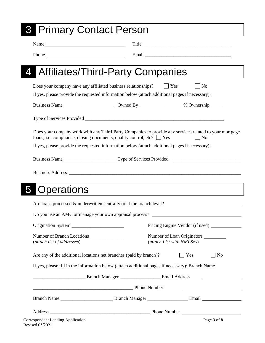| <b>Primary Contact Person</b>                                                                                                                                                                      |
|----------------------------------------------------------------------------------------------------------------------------------------------------------------------------------------------------|
| Name                                                                                                                                                                                               |
|                                                                                                                                                                                                    |
| Affiliates/Third-Party Companies                                                                                                                                                                   |
| Does your company have any affiliated business relationships?<br>$\Box$ Yes<br>$\vert$   No                                                                                                        |
| If yes, please provide the requested information below (attach additional pages if necessary):                                                                                                     |
|                                                                                                                                                                                                    |
|                                                                                                                                                                                                    |
| Does your company work with any Third-Party Companies to provide any services related to your mortgage<br>loans, i.e. compliance, closing documents, quality control, etc? $\Box$ Yes<br>$\Box$ No |
| If yes, please provide the requested information below (attach additional pages if necessary):                                                                                                     |
|                                                                                                                                                                                                    |
|                                                                                                                                                                                                    |
|                                                                                                                                                                                                    |
|                                                                                                                                                                                                    |
|                                                                                                                                                                                                    |
| Are loans processed $\&$ underwritten centrally or at the branch level?                                                                                                                            |
| Do you use an AMC or manage your own appraisal process?                                                                                                                                            |
| Pricing Engine Vendor (if used) ______________                                                                                                                                                     |
|                                                                                                                                                                                                    |
| Number of Loan Originators _________<br>(attach List with NMLS#s)                                                                                                                                  |
| Are any of the additional locations net branches (paid by branch)?<br>$\overline{\phantom{a}}$ No<br>Yes                                                                                           |
| If yes, please fill in the information below (attach additional pages if necessary): Branch Name                                                                                                   |
|                                                                                                                                                                                                    |
| <b>Example 2</b> Phone Number                                                                                                                                                                      |
|                                                                                                                                                                                                    |
|                                                                                                                                                                                                    |

Correspondent Lending Application Revised 05/2021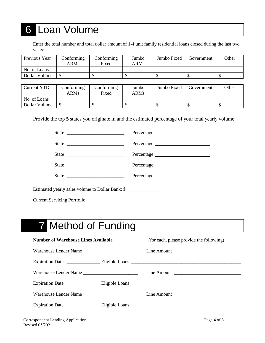# 6 Loan Volume

Enter the total number and total dollar amount of 1-4 unit family residential loans closed during the last two years:

| Previous Year | Conforming<br><b>ARMs</b> | Conforming<br>Fixed | Jumbo<br><b>ARMs</b> | Jumbo Fixed | Government | Other |
|---------------|---------------------------|---------------------|----------------------|-------------|------------|-------|
| No. of Loans  |                           |                     |                      |             |            |       |
| Dollar Volume |                           |                     |                      |             |            |       |

| <b>Current YTD</b> | Conforming<br><b>ARMs</b> | Conforming<br>Fixed | Jumbo<br><b>ARMs</b> | Jumbo Fixed | Government | Other |
|--------------------|---------------------------|---------------------|----------------------|-------------|------------|-------|
| No. of Loans       |                           |                     |                      |             |            |       |
| Dollar Volume      |                           |                     |                      |             |            |       |

Provide the top **5** states you originate in and the estimated percentage of your total yearly volume:

| Percentage                                                                                 |
|--------------------------------------------------------------------------------------------|
|                                                                                            |
|                                                                                            |
|                                                                                            |
| Estimated yearly sales volume to Dollar Bank: \$                                           |
|                                                                                            |
| <u> 1989 - Johann Stoff, amerikansk politiker (* 1908)</u>                                 |
| <b>7</b> Method of Funding                                                                 |
| Number of Warehouse Lines Available ______________(for each, please provide the following) |
|                                                                                            |
|                                                                                            |
|                                                                                            |
|                                                                                            |
|                                                                                            |
|                                                                                            |
|                                                                                            |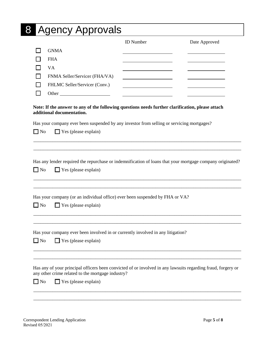### 8 Agency Approvals

|                               | <b>ID</b> Number | Date Approved |
|-------------------------------|------------------|---------------|
| <b>GNMA</b>                   |                  |               |
| <b>FHA</b>                    |                  |               |
| VA                            |                  |               |
| FNMA Seller/Servicer (FHA/VA) |                  |               |
| FHLMC Seller/Servicer (Conv.) |                  |               |
| Other                         |                  |               |

#### **Note: If the answer to any of the following questions needs further clarification, please attach additional documentation.**

|              | Has your company ever been suspended by any investor from selling or servicing mortgages?                                                                                                        |
|--------------|--------------------------------------------------------------------------------------------------------------------------------------------------------------------------------------------------|
| $\Box$ No    | $\Box$ Yes (please explain)                                                                                                                                                                      |
|              |                                                                                                                                                                                                  |
| $\square$ No | Has any lender required the repurchase or indemnification of loans that your mortgage company originated?<br>$\Box$ Yes (please explain)                                                         |
| $\square$ No | Has your company (or an individual office) ever been suspended by FHA or VA?<br>$\Box$ Yes (please explain)                                                                                      |
| $\square$ No | Has your company ever been involved in or currently involved in any litigation?<br>$\Box$ Yes (please explain)                                                                                   |
| $\Box$ No    | Has any of your principal officers been convicted of or involved in any lawsuits regarding fraud, forgery or<br>any other crime related to the mortgage industry?<br>$\Box$ Yes (please explain) |
|              |                                                                                                                                                                                                  |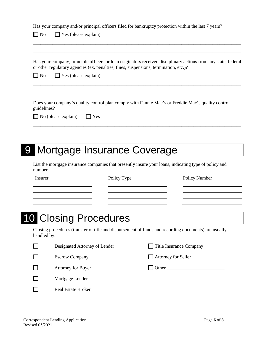|              | $\Box$ Yes (please explain)<br>$\Box$ No                                                                                                                                                                                              |             |                                                                                                                                                                                                                               |               |
|--------------|---------------------------------------------------------------------------------------------------------------------------------------------------------------------------------------------------------------------------------------|-------------|-------------------------------------------------------------------------------------------------------------------------------------------------------------------------------------------------------------------------------|---------------|
| $\square$ No | Has your company, principle officers or loan originators received disciplinary actions from any state, federal<br>or other regulatory agencies (ex. penalties, fines, suspensions, termination, etc.)?<br>$\Box$ Yes (please explain) |             |                                                                                                                                                                                                                               |               |
|              |                                                                                                                                                                                                                                       |             |                                                                                                                                                                                                                               |               |
| guidelines?  | Does your company's quality control plan comply with Fannie Mae's or Freddie Mac's quality control                                                                                                                                    |             |                                                                                                                                                                                                                               |               |
|              | $\Box$ Yes<br>No (please explain)                                                                                                                                                                                                     |             |                                                                                                                                                                                                                               |               |
|              |                                                                                                                                                                                                                                       |             |                                                                                                                                                                                                                               |               |
|              |                                                                                                                                                                                                                                       |             |                                                                                                                                                                                                                               |               |
|              |                                                                                                                                                                                                                                       |             |                                                                                                                                                                                                                               |               |
|              |                                                                                                                                                                                                                                       |             |                                                                                                                                                                                                                               |               |
|              | Mortgage Insurance Coverage                                                                                                                                                                                                           |             |                                                                                                                                                                                                                               |               |
| number.      | List the mortgage insurance companies that presently insure your loans, indicating type of policy and                                                                                                                                 |             |                                                                                                                                                                                                                               |               |
| Insurer      |                                                                                                                                                                                                                                       | Policy Type |                                                                                                                                                                                                                               | Policy Number |
|              |                                                                                                                                                                                                                                       |             |                                                                                                                                                                                                                               |               |
|              |                                                                                                                                                                                                                                       |             |                                                                                                                                                                                                                               |               |
|              |                                                                                                                                                                                                                                       |             |                                                                                                                                                                                                                               |               |
|              |                                                                                                                                                                                                                                       |             |                                                                                                                                                                                                                               |               |
|              | <b>10 Closing Procedures</b>                                                                                                                                                                                                          |             |                                                                                                                                                                                                                               |               |
| handled by:  | Closing procedures (transfer of title and disbursement of funds and recording documents) are usually                                                                                                                                  |             |                                                                                                                                                                                                                               |               |
|              | Designated Attorney of Lender                                                                                                                                                                                                         |             | Title Insurance Company                                                                                                                                                                                                       |               |
|              | <b>Escrow Company</b>                                                                                                                                                                                                                 |             | <b>Attorney for Seller</b>                                                                                                                                                                                                    |               |
|              | <b>Attorney for Buyer</b>                                                                                                                                                                                                             |             | Other and the contract of the contract of the contract of the contract of the contract of the contract of the contract of the contract of the contract of the contract of the contract of the contract of the contract of the |               |
|              | Mortgage Lender                                                                                                                                                                                                                       |             |                                                                                                                                                                                                                               |               |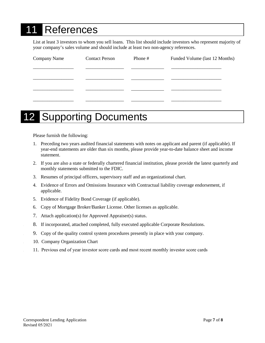# **References**

List at least 3 investors to whom you sell loans. This list should include investors who represent majority of your company's sales volume and should include at least two non-agency references.

| Company Name | <b>Contact Person</b> | Phone # | Funded Volume (last 12 Months) |
|--------------|-----------------------|---------|--------------------------------|
|              |                       |         |                                |
|              |                       |         |                                |
|              |                       |         |                                |
|              |                       |         |                                |

# **12 Supporting Documents**

Please furnish the following:

- 1. Preceding two years audited financial statements with notes on applicant and parent (if applicable). If year-end statements are older than six months, please provide year-to-date balance sheet and income statement.
- 2. If you are also a state or federally chartered financial institution, please provide the latest quarterly and monthly statements submitted to the FDIC.
- 3. Resumes of principal officers, supervisory staff and an organizational chart.
- 4. Evidence of Errors and Omissions Insurance with Contractual liability coverage endorsement, if applicable.
- 5. Evidence of Fidelity Bond Coverage (if applicable).
- 6. Copy of Mortgage Broker/Banker License. Other licenses as applicable.
- 7. Attach application(s) for Approved Appraiser(s) status.
- 8. If incorporated, attached completed, fully executed applicable Corporate Resolutions.
- 9. Copy of the quality control system procedures presently in place with your company.
- 10. Company Organization Chart
- 11. Previous end of year investor score cards and most recent monthly investor score cards